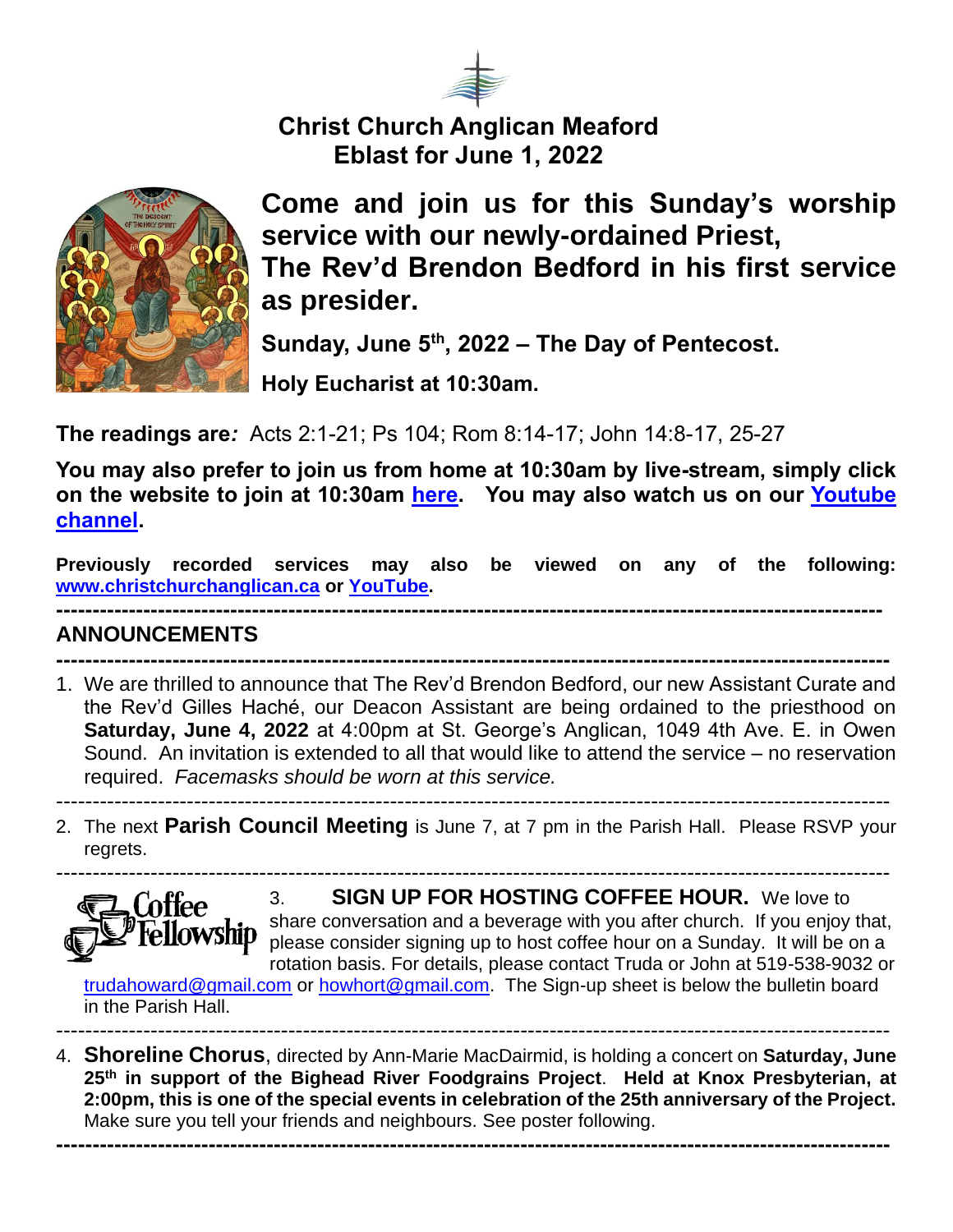

**Christ Church Anglican Meaford Eblast for June 1, 2022**



**Come and join us for this Sunday's worship service with our newly-ordained Priest, The Rev'd Brendon Bedford in his first service as presider.** 

**Sunday, June 5th, 2022 – The Day of Pentecost.** 

**Holy Eucharist at 10:30am.** 

**The readings are***:* Acts 2:1-21; Ps 104; Rom 8:14-17; John 14:8-17, 25-27

**You may also prefer to join us from home at 10:30am by live-stream, simply click on the website to join at 10:30am [here.](https://christchurchanglican.ca/) You may also watch us on our [Youtube](https://www.youtube.com/playlist?list=PL_K_skDetjaA7oeKPxsvRmuoEcKBTkW5D)  [channel.](https://www.youtube.com/playlist?list=PL_K_skDetjaA7oeKPxsvRmuoEcKBTkW5D)** 

**Previously recorded services may also be viewed on any of the following: [www.christchurchanglican.ca](http://www.christchurchanglican.ca/) or [YouTube.](https://www.youtube.com/channel/UCcJHYZ4ZTnJDu7skpcd4O5A) ------------------------------------------------------------------------------------------------------------------**

## **ANNOUNCEMENTS**

- **-------------------------------------------------------------------------------------------------------------------** 1. We are thrilled to announce that The Rev'd Brendon Bedford, our new Assistant Curate and the Rev'd Gilles Haché, our Deacon Assistant are being ordained to the priesthood on **Saturday, June 4, 2022** at 4:00pm at St. George's Anglican, 1049 4th Ave. E. in Owen Sound. An invitation is extended to all that would like to attend the service – no reservation required. *Facemasks should be worn at this service.*
- ------------------------------------------------------------------------------------------------------------------- 2. The next **Parish Council Meeting** is June 7, at 7 pm in the Parish Hall. Please RSVP your



regrets.

3. **SIGN UP FOR HOSTING COFFEE HOUR.** We love to share conversation and a beverage with you after church. If you enjoy that, please consider signing up to host coffee hour on a Sunday. It will be on a rotation basis. For details, please contact Truda or John at 519-538-9032 or

[trudahoward@gmail.com](mailto:trudahoward@gmail.com) or [howhort@gmail.com.](mailto:howhort@gmail.com) The Sign-up sheet is below the bulletin board in the Parish Hall.

------------------------------------------------------------------------------------------------------------------- 4. **Shoreline Chorus**, directed by Ann-Marie MacDairmid, is holding a concert on **Saturday, June 25th in support of the Bighead River Foodgrains Project**. **Held at Knox Presbyterian, at 2:00pm, this is one of the special events in celebration of the 25th anniversary of the Project.**  Make sure you tell your friends and neighbours. See poster following.

**-------------------------------------------------------------------------------------------------------------------**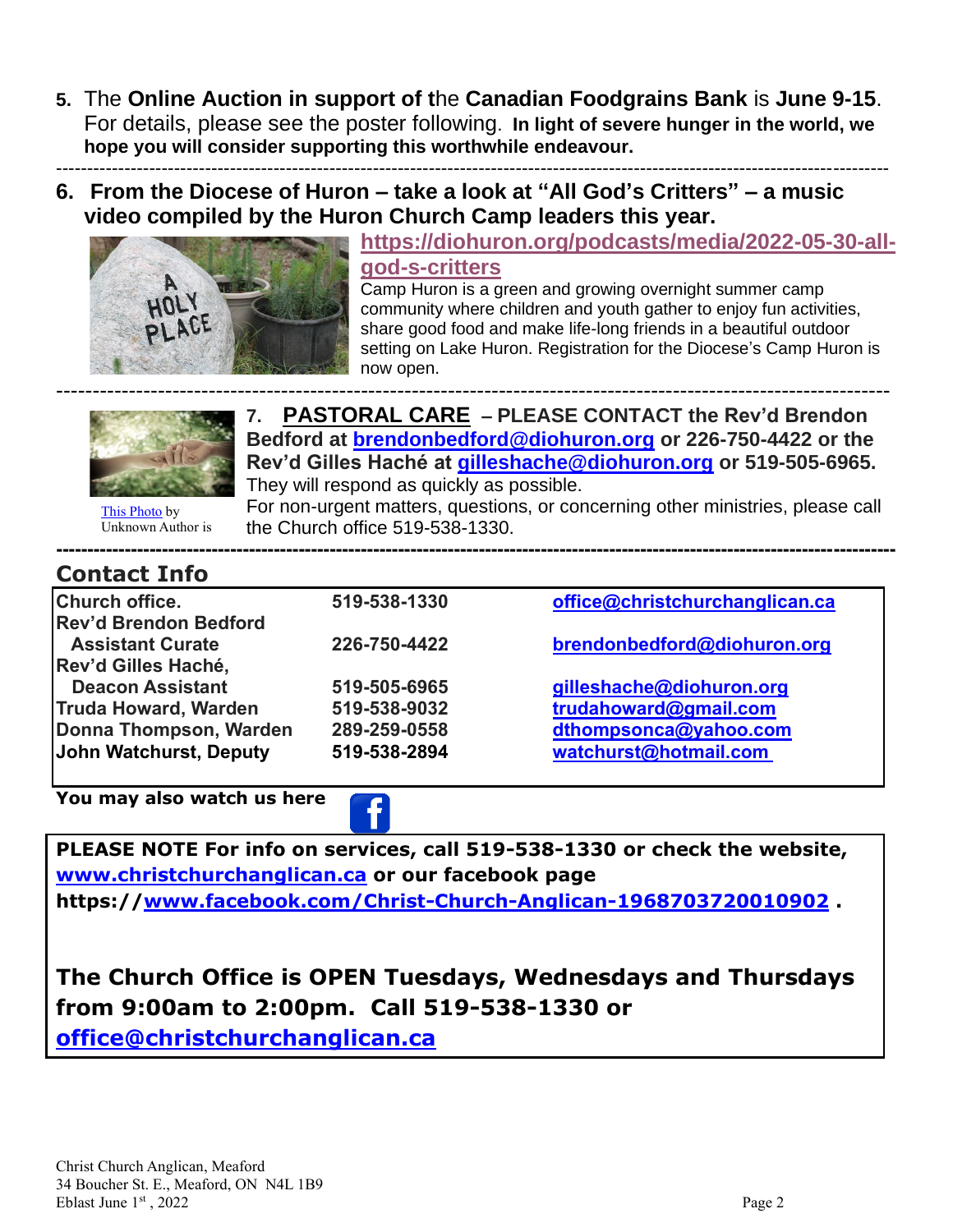- **5.** The **Online Auction in support of t**he **Canadian Foodgrains Bank** is **June 9-15**. For details, please see the poster following. **In light of severe hunger in the world, we hope you will consider supporting this worthwhile endeavour.**  --------------------------------------------------------------------------------------------------------------------------------------
- **6. From the Diocese of Huron – take a look at "All God's Critters" – a music video compiled by the Huron Church Camp leaders this year.**



**[https://diohuron.org/podcasts/media/2022-05-30-all](https://diohuron.org/podcasts/media/2022-05-30-all-god-s-critters)[god-s-critters](https://diohuron.org/podcasts/media/2022-05-30-all-god-s-critters)** Camp Huron is a green and growing overnight summer camp community where children and youth gather to enjoy fun activities,

share good food and make life-long friends in a beautiful outdoor setting on Lake Huron. Registration for the Diocese's Camp Huron is now open.



------------------------------------------------------------------------------------------------------------------- **7. PASTORAL CARE – PLEASE CONTACT the Rev'd Brendon Bedford at [brendonbedford@diohuron.org](mailto:brendonbedford@diohuron.org) or 226-750-4422 or the Rev'd Gilles Haché at [gilleshache@diohuron.org](mailto:gilleshache@diohuron.org) or 519-505-6965.** They will respond as quickly as possible.

[This Photo](http://www.bchumanist.ca/should_medical_assistance_in_dying_be_available_for_people_with_existential_suffering) by Unknown Author is

For non-urgent matters, questions, or concerning other ministries, please call the Church office 519-538-1330.

## **Contact Info**

| 519-538-1330 | office@christchurchanglican.ca |
|--------------|--------------------------------|
|              |                                |
| 226-750-4422 | brendonbedford@diohuron.org    |
|              |                                |
| 519-505-6965 | gilleshache@diohuron.org       |
| 519-538-9032 | trudahoward@gmail.com          |
| 289-259-0558 | dthompsonca@yahoo.com          |
| 519-538-2894 | watchurst@hotmail.com          |
|              |                                |

**------[---------](https://creativecommons.org/licenses/by-sa/3.0/)-----[--------](https://creativecommons.org/licenses/by-sa/3.0/)-----------------------------------------------------------------------------------------------------------**

**You may also watch us here** 

**PLEASE NOTE For info on services, call 519-538-1330 or check the website, [www.christchurchanglican.ca](http://www.christchurchanglican.ca/) or our facebook page https:/[/www.facebook.com/Christ-Church-Anglican-1968703720010902](file:///C:/Users/Church%20Office/IDrive-Sync/CHRIST%20CHURCH%20MEAFORD/Eblasts/EBLASTS%202021/www.facebook.com/Christ-Church-Anglican-1968703720010902) .** 

**The Church Office is OPEN Tuesdays, Wednesdays and Thursdays from 9:00am to 2:00pm. Call 519-538-1330 or [office@christchurchanglican.ca](mailto:office@christchurchanglican.ca)**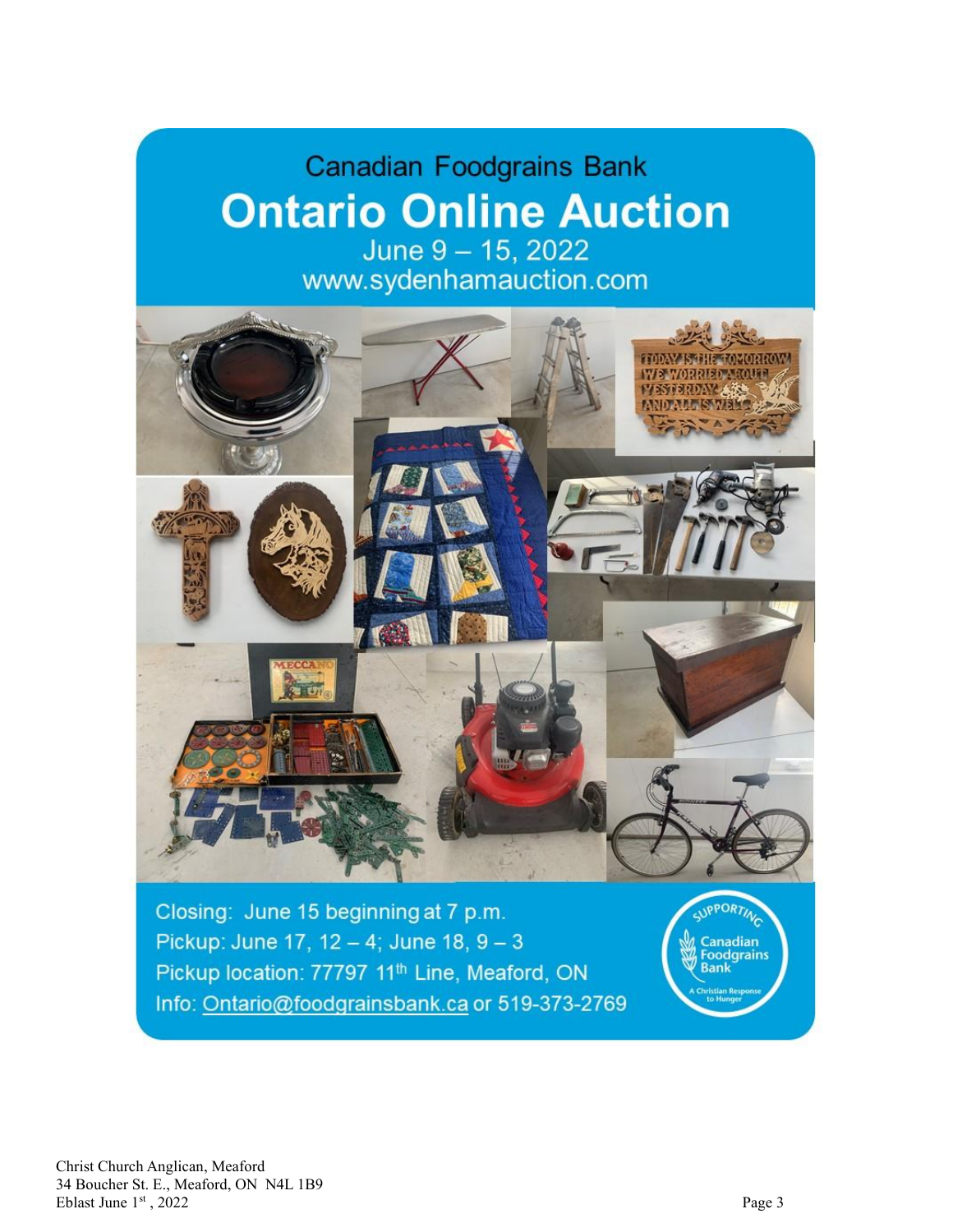## **Canadian Foodgrains Bank Ontario Online Auction** June 9 - 15, 2022

www.sydenhamauction.com



Info: Ontario@foodgrainsbank.ca or 519-373-2769

Christ Church Anglican, Meaford 34 Boucher St. E., Meaford, ON N4L 1B9 Eblast June 1st, 202  $2<sup>2</sup>$